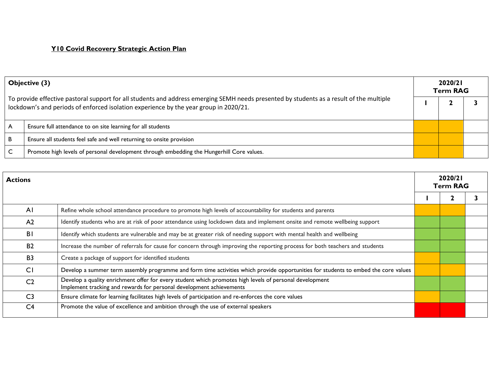| Objective (3)<br>To provide effective pastoral support for all students and address emerging SEMH needs presented by students as a result of the multiple<br>lockdown's and periods of enforced isolation experience by the year group in 2020/21. |                                                                                           | 2020/21<br><b>Term RAG</b> |  |  |
|----------------------------------------------------------------------------------------------------------------------------------------------------------------------------------------------------------------------------------------------------|-------------------------------------------------------------------------------------------|----------------------------|--|--|
|                                                                                                                                                                                                                                                    |                                                                                           |                            |  |  |
|                                                                                                                                                                                                                                                    | Ensure full attendance to on site learning for all students                               |                            |  |  |
| B                                                                                                                                                                                                                                                  | Ensure all students feel safe and well returning to onsite provision                      |                            |  |  |
|                                                                                                                                                                                                                                                    | Promote high levels of personal development through embedding the Hungerhill Core values. |                            |  |  |

| <b>Actions</b> |                                                                                                                                                                                 | 2020/21<br><b>Term RAG</b> |  |  |
|----------------|---------------------------------------------------------------------------------------------------------------------------------------------------------------------------------|----------------------------|--|--|
|                |                                                                                                                                                                                 |                            |  |  |
| AI             | Refine whole school attendance procedure to promote high levels of accountability for students and parents                                                                      |                            |  |  |
| A <sub>2</sub> | Identify students who are at risk of poor attendance using lockdown data and implement onsite and remote wellbeing support                                                      |                            |  |  |
| <b>BI</b>      | Identify which students are vulnerable and may be at greater risk of needing support with mental health and wellbeing                                                           |                            |  |  |
| <b>B2</b>      | Increase the number of referrals for cause for concern through improving the reporting process for both teachers and students                                                   |                            |  |  |
| B <sub>3</sub> | Create a package of support for identified students                                                                                                                             |                            |  |  |
| CI             | Develop a summer term assembly programme and form time activities which provide opportunities for students to embed the core values                                             |                            |  |  |
| C <sub>2</sub> | Develop a quality enrichment offer for every student which promotes high levels of personal development<br>Implement tracking and rewards for personal development achievements |                            |  |  |
| C <sub>3</sub> | Ensure climate for learning facilitates high levels of participation and re-enforces the core values                                                                            |                            |  |  |
| C <sub>4</sub> | Promote the value of excellence and ambition through the use of external speakers                                                                                               |                            |  |  |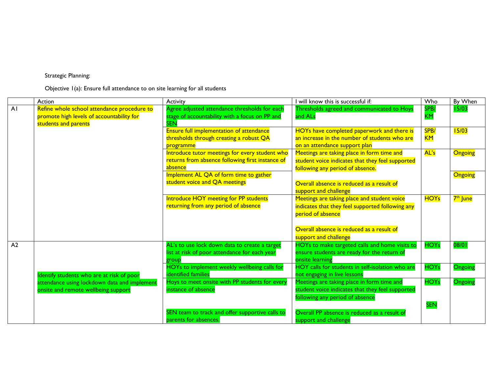## Strategic Planning:

Objective 1(a): Ensure full attendance to on site learning for all students

|    | Action                                                                                                           | Activity                                                                                                      | I will know this is successful if:                                                                                                                                                         | Who                     | By When              |
|----|------------------------------------------------------------------------------------------------------------------|---------------------------------------------------------------------------------------------------------------|--------------------------------------------------------------------------------------------------------------------------------------------------------------------------------------------|-------------------------|----------------------|
| AI | Refine whole school attendance procedure to<br>promote high levels of accountability for<br>students and parents | Agree adjusted attendance thresholds for each<br>stage of accountability with a focus on PP and<br><b>SEN</b> | Thresholds agreed and communicated to Hoys<br>and ALs                                                                                                                                      | SPB/<br><b>KM</b>       | 15/03                |
|    |                                                                                                                  | Ensure full implementation of attendance<br>thresholds through creating a robust QA<br>programme              | HOYs have completed paperwork and there is<br>an increase in the number of students who are<br>on an attendance support plan                                                               | SPB/<br><mark>KM</mark> | 15/03                |
|    |                                                                                                                  | Introduce tutor meetings for every student who<br>returns from absence following first instance of<br>absence | Meetings are taking place in form time and<br>student voice indicates that they feel supported<br>following any period of absence.                                                         | AL's                    | <b>Ongoing</b>       |
|    |                                                                                                                  | Implement AL QA of form time to gather<br>student voice and QA meetings                                       | Overall absence is reduced as a result of<br>support and challenge                                                                                                                         |                         | <b>Ongoing</b>       |
|    |                                                                                                                  | Introduce HOY meeting for PP students<br>returning from any period of absence                                 | Meetings are taking place and student voice<br>indicates that they feel supported following any<br>period of absence<br>Overall absence is reduced as a result of<br>support and challenge | <b>HOYs</b>             | 7 <sup>th</sup> June |
| A2 |                                                                                                                  | AL's to use lock down data to create a target<br>list at risk of poor attendance for each year<br>group       | HOYs to make targeted calls and home visits to<br>ensure students are ready for the return of<br>onsite learning                                                                           | <b>HOYs</b>             | 08/01                |
|    | Identify students who are at risk of poor                                                                        | HOYs to implement weekly wellbeing calls for<br>identified families                                           | HOY calls for students in self-isolation who are<br>not engaging in live lessons                                                                                                           | <b>HOYs</b>             | Ongoing              |
|    | attendance using lockdown data and implement<br>onsite and remote wellbeing support                              | Hoys to meet onsite with PP students for every<br>instance of absence                                         | Meetings are taking place in form time and<br>student voice indicates that they feel supported<br>following any period of absence                                                          | <b>HOYs</b>             | <b>Ongoing</b>       |
|    |                                                                                                                  | SEN team to track and offer supportive calls to<br>parents for absences.                                      | Overall PP absence is reduced as a result of<br>support and challenge                                                                                                                      | <b>SEN</b>              |                      |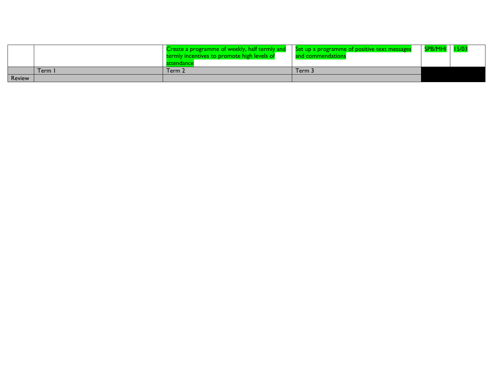|               |      | Create a programme of weekly, half termly and Set up a programme of positive text messages<br>termly incentives to promote high levels of | and commendations | <b>SPB/MHI</b> |  |
|---------------|------|-------------------------------------------------------------------------------------------------------------------------------------------|-------------------|----------------|--|
|               | Term | Term 2                                                                                                                                    | ڈ Term            |                |  |
| <b>Review</b> |      |                                                                                                                                           |                   |                |  |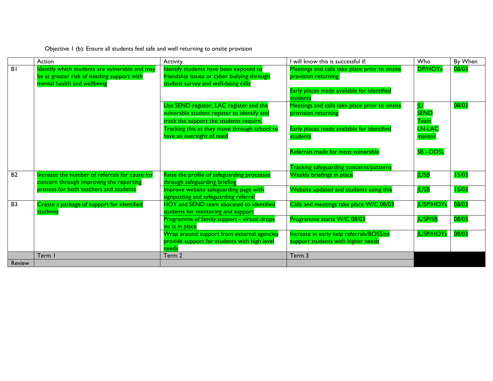| Objective I (b): Ensure all students feel safe and well returning to onsite provision |  |
|---------------------------------------------------------------------------------------|--|
|---------------------------------------------------------------------------------------|--|

|               | Action                                                                                                                      | <b>Activity</b>                                                                                                                                                                   | will know this is successful if:                                                                                                | Who                                  | By When |
|---------------|-----------------------------------------------------------------------------------------------------------------------------|-----------------------------------------------------------------------------------------------------------------------------------------------------------------------------------|---------------------------------------------------------------------------------------------------------------------------------|--------------------------------------|---------|
| <b>BI</b>     | Identify which students are vulnerable and may<br>be at greater risk of needing support with<br>mental health and wellbeing | Identify students have been exposed to<br>friendship issues or cyber bullying through<br>student survey and well-being calls                                                      | Meetings and calls take place prior to onsite<br>provision returning.<br>Early places made available for identified<br>students | <b>DP/HOYs</b>                       | 08/03   |
|               |                                                                                                                             | Use SEND register, LAC register and the<br>vulnerable student register to identify and<br>track the support the students require.<br>Tracking this as they move through school to | Meetings and calls take place prior to onsite<br>provision returning<br>Early places made available for identified              | <b>SEND</b><br><b>Team</b><br>LN-LAC | 08/03   |
|               |                                                                                                                             | have an oversight of need                                                                                                                                                         | students<br>Referrals made for most vulnerable                                                                                  | mentor<br><b>SB - DDSL</b>           |         |
| <b>B2</b>     | Increase the number of referrals for cause for<br>concern through improving the reporting                                   | Raise the profile of safeguarding processes<br>through safeguarding briefing                                                                                                      | <b>Tracking safeguarding concerns/patterns</b><br>Weekly briefings in place                                                     | <b>IL/SB</b>                         | 15/03   |
|               | process for both teachers and students                                                                                      | Improve website safeguarding page with<br>signposting and safeguarding referral                                                                                                   | Website updated and students using this                                                                                         | JL/SB                                | 15/03   |
| <b>B3</b>     | Create a package of support for identified<br>students                                                                      | HOY and SEND team allocated to identified<br>students for mentoring and support                                                                                                   | Calls and meetings take place W/C 08/03                                                                                         | L/SP/HOYs                            | 08/03   |
|               |                                                                                                                             | Programme of family support - virtual drops<br>ins is in place                                                                                                                    | Programme starts W/C 08/03                                                                                                      | <b>L/SP/SB</b>                       | 08/03   |
|               |                                                                                                                             | Wrap around support from external agencies<br>provide support for students with high level<br>needs                                                                               | Increase in early help referrals/BOSS/to<br>support students with higher needs                                                  | <b>IL/SP/HOYs</b>                    | 08/03   |
|               | Term I                                                                                                                      | Term 2                                                                                                                                                                            | Term 3                                                                                                                          |                                      |         |
| <b>Review</b> |                                                                                                                             |                                                                                                                                                                                   |                                                                                                                                 |                                      |         |